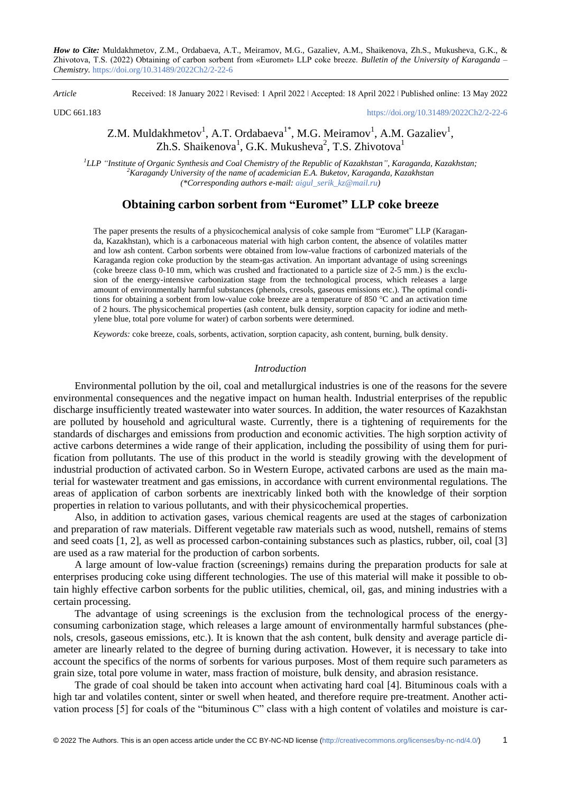*How to Cite:* Muldakhmetov, Z.M., Ordabaeva, A.T., Meiramov, M.G., Gazaliev, A.M., Shaikenova, Zh.S., Mukusheva, G.K., & Zhivotova, T.S. (2022) Obtaining of carbon sorbent from «Euromet» LLP coke breeze. *Bulletin of the University of Karaganda – Chemistry.* https://doi.org/10.31489/2022Ch2/2-22-6

*Article* Received: 18 January 2022 ǀ Revised: 1 April 2022 ǀ Accepted: 18 April 2022 ǀ Published online: 13 May 2022

UDC 661.183 <https://doi.org/10.31489/2022Ch2/2-22-6>

# Z.M. Muldakhmetov<sup>1</sup>, A.T. Ordabaeva<sup>1\*</sup>, M.G. Meiramov<sup>1</sup>, A.M. Gazaliev<sup>1</sup>, Zh.S. Shaikenova<sup>1</sup>, G.K. Mukusheva<sup>2</sup>, T.S. Zhivotova<sup>1</sup>

*1 LLP "Institute of Organic Synthesis and Coal Chemistry of the Republic of Kazakhstan", Karaganda, Kazakhstan; <sup>2</sup>Karagandy University of the name of academician E.A. Buketov, Karaganda, Kazakhstan (\*Corresponding authors e-mail: [aigul\\_serik\\_kz@mail.ru\)](mailto:aigul_serik_kz@mail.ru)*

# **Obtaining carbon sorbent from "Euromet" LLP coke breeze**

The paper presents the results of a physicochemical analysis of coke sample from "Euromet" LLP (Karaganda, Kazakhstan), which is a carbonaceous material with high carbon content, the absence of volatiles matter and low ash content. Carbon sorbents were obtained from low-value fractions of carbonized materials of the Karaganda region coke production by the steam-gas activation. An important advantage of using screenings (coke breeze class 0-10 mm, which was crushed and fractionated to a particle size of 2-5 mm.) is the exclusion of the energy-intensive carbonization stage from the technological process, which releases a large amount of environmentally harmful substances (phenols, cresols, gaseous emissions etc.). The optimal conditions for obtaining a sorbent from low-value coke breeze are a temperature of 850 °C and an activation time of 2 hours. The physicochemical properties (ash content, bulk density, sorption capacity for iodine and methylene blue, total pore volume for water) of carbon sorbents were determined.

*Keywords:* coke breeze, coals, sorbents, activation, sorption capacity, ash content, burning, bulk density.

## *Introduction*

Environmental pollution by the oil, coal and metallurgical industries is one of the reasons for the severe environmental consequences and the negative impact on human health. Industrial enterprises of the republic discharge insufficiently treated wastewater into water sources. In addition, the water resources of Kazakhstan are polluted by household and agricultural waste. Currently, there is a tightening of requirements for the standards of discharges and emissions from production and economic activities. The high sorption activity of active carbons determines a wide range of their application, including the possibility of using them for purification from pollutants. The use of this product in the world is steadily growing with the development of industrial production of activated carbon. So in Western Europe, activated carbons are used as the main material for wastewater treatment and gas emissions, in accordance with current environmental regulations. The areas of application of carbon sorbents are inextricably linked both with the knowledge of their sorption properties in relation to various pollutants, and with their physicochemical properties.

Also, in addition to activation gases, various chemical reagents are used at the stages of carbonization and preparation of raw materials. Different vegetable raw materials such as wood, nutshell, remains of stems and seed coats [1, 2], as well as processed carbon-containing substances such as plastics, rubber, oil, coal [3] are used as a raw material for the production of carbon sorbents.

A large amount of low-value fraction (screenings) remains during the preparation products for sale at enterprises producing coke using different technologies. The use of this material will make it possible to obtain highly effective carbon sorbents for the public utilities, chemical, oil, gas, and mining industries with a certain processing.

The advantage of using screenings is the exclusion from the technological process of the energyconsuming carbonization stage, which releases a large amount of environmentally harmful substances (phenols, cresols, gaseous emissions, etc.). It is known that the ash content, bulk density and average particle diameter are linearly related to the degree of burning during activation. However, it is necessary to take into account the specifics of the norms of sorbents for various purposes. Most of them require such parameters as grain size, total pore volume in water, mass fraction of moisture, bulk density, and abrasion resistance.

The grade of coal should be taken into account when activating hard coal [4]. Bituminous coals with a high tar and volatiles content, sinter or swell when heated, and therefore require pre-treatment. Another activation process [5] for coals of the "bituminous C" class with a high content of volatiles and moisture is car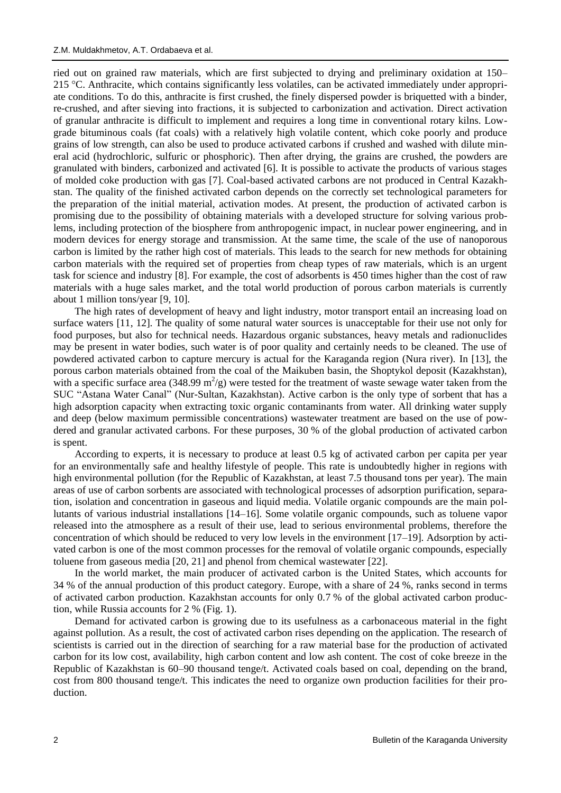ried out on grained raw materials, which are first subjected to drying and preliminary oxidation at 150– 215 °C. Anthracite, which contains significantly less volatiles, can be activated immediately under appropriate conditions. To do this, anthracite is first crushed, the finely dispersed powder is briquetted with a binder, re-crushed, and after sieving into fractions, it is subjected to carbonization and activation. Direct activation of granular anthracite is difficult to implement and requires a long time in conventional rotary kilns. Lowgrade bituminous coals (fat coals) with a relatively high volatile content, which coke poorly and produce grains of low strength, can also be used to produce activated carbons if crushed and washed with dilute mineral acid (hydrochloric, sulfuric or phosphoric). Then after drying, the grains are crushed, the powders are granulated with binders, carbonized and activated [6]. It is possible to activate the products of various stages of molded coke production with gas [7]. Coal-based activated carbons are not produced in Central Kazakhstan. The quality of the finished activated carbon depends on the correctly set technological parameters for the preparation of the initial material, activation modes. At present, the production of activated carbon is promising due to the possibility of obtaining materials with a developed structure for solving various problems, including protection of the biosphere from anthropogenic impact, in nuclear power engineering, and in modern devices for energy storage and transmission. At the same time, the scale of the use of nanoporous carbon is limited by the rather high cost of materials. This leads to the search for new methods for obtaining carbon materials with the required set of properties from cheap types of raw materials, which is an urgent task for science and industry [8]. For example, the cost of adsorbents is 450 times higher than the cost of raw materials with a huge sales market, and the total world production of porous carbon materials is currently about 1 million tons/year [9, 10].

The high rates of development of heavy and light industry, motor transport entail an increasing load on surface waters [11, 12]. The quality of some natural water sources is unacceptable for their use not only for food purposes, but also for technical needs. Hazardous organic substances, heavy metals and radionuclides may be present in water bodies, such water is of poor quality and certainly needs to be cleaned. The use of powdered activated carbon to capture mercury is actual for the Karaganda region (Nura river). In [13], the porous carbon materials obtained from the coal of the Maikuben basin, the Shoptykol deposit (Kazakhstan), with a specific surface area (348.99  $m^2/g$ ) were tested for the treatment of waste sewage water taken from the SUC "Astana Water Canal" (Nur-Sultan, Kazakhstan). Active carbon is the only type of sorbent that has a high adsorption capacity when extracting toxic organic contaminants from water. All drinking water supply and deep (below maximum permissible concentrations) wastewater treatment are based on the use of powdered and granular activated carbons. For these purposes, 30 % of the global production of activated carbon is spent.

According to experts, it is necessary to produce at least 0.5 kg of activated carbon per capita per year for an environmentally safe and healthy lifestyle of people. This rate is undoubtedly higher in regions with high environmental pollution (for the Republic of Kazakhstan, at least 7.5 thousand tons per year). The main areas of use of carbon sorbents are associated with technological processes of adsorption purification, separation, isolation and concentration in gaseous and liquid media. Volatile organic compounds are the main pollutants of various industrial installations [14–16]. Some volatile organic compounds, such as toluene vapor released into the atmosphere as a result of their use, lead to serious environmental problems, therefore the concentration of which should be reduced to very low levels in the environment [17–19]. Adsorption by activated carbon is one of the most common processes for the removal of volatile organic compounds, especially toluene from gaseous media [20, 21] and phenol from chemical wastewater [22].

In the world market, the main producer of activated carbon is the United States, which accounts for 34 % of the annual production of this product category. Europe, with a share of 24 %, ranks second in terms of activated carbon production. Kazakhstan accounts for only 0.7 % of the global activated carbon production, while Russia accounts for 2 % (Fig. 1).

Demand for activated carbon is growing due to its usefulness as a carbonaceous material in the fight against pollution. As a result, the cost of activated carbon rises depending on the application. The research of scientists is carried out in the direction of searching for a raw material base for the production of activated carbon for its low cost, availability, high carbon content and low ash content. The cost of coke breeze in the Republic of Kazakhstan is 60–90 thousand tenge/t. Activated coals based on coal, depending on the brand, cost from 800 thousand tenge/t. This indicates the need to organize own production facilities for their production.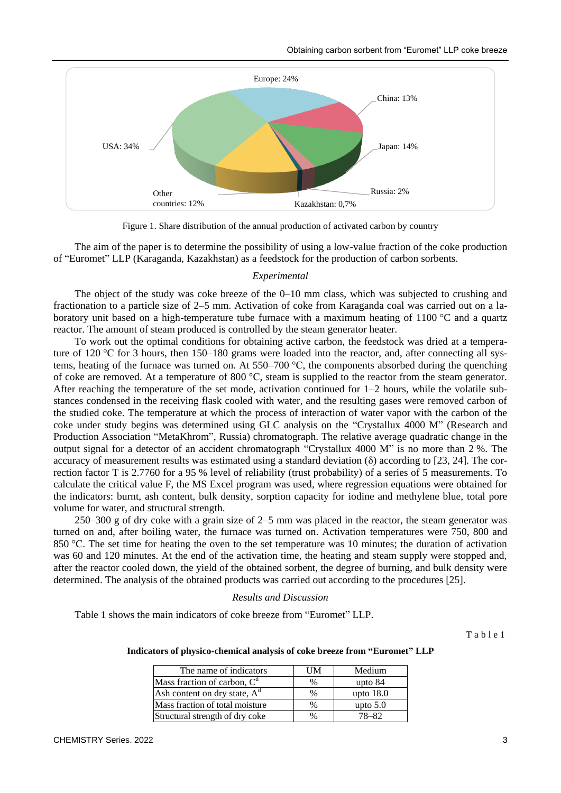

Figure 1. Share distribution of the annual production of activated carbon by country

The aim of the paper is to determine the possibility of using a low-value fraction of the coke production of "Euromet" LLP (Karaganda, Kazakhstan) as a feedstock for the production of carbon sorbents.

### *Experimental*

The object of the study was coke breeze of the 0–10 mm class, which was subjected to crushing and fractionation to a particle size of 2–5 mm. Activation of coke from Karaganda coal was carried out on a laboratory unit based on a high-temperature tube furnace with a maximum heating of 1100 °C and a quartz reactor. The amount of steam produced is controlled by the steam generator heater.

To work out the optimal conditions for obtaining active carbon, the feedstock was dried at a temperature of 120 °C for 3 hours, then 150–180 grams were loaded into the reactor, and, after connecting all systems, heating of the furnace was turned on. At 550–700 °C, the components absorbed during the quenching of coke are removed. At a temperature of 800  $^{\circ}$ C, steam is supplied to the reactor from the steam generator. After reaching the temperature of the set mode, activation continued for  $1-2$  hours, while the volatile substances condensed in the receiving flask cooled with water, and the resulting gases were removed carbon of the studied coke. The temperature at which the process of interaction of water vapor with the carbon of the coke under study begins was determined using GLC analysis on the "Crystallux 4000 M" (Research and Production Association "MetaKhrom", Russia) chromatograph. The relative average quadratic change in the output signal for a detector of an accident chromatograph "Crystallux 4000 M" is no more than 2 %. The accuracy of measurement results was estimated using a standard deviation ( $\delta$ ) according to [23, 24]. The correction factor T is 2.7760 for a 95 % level of reliability (trust probability) of a series of 5 measurements. To calculate the critical value F, the MS Excel program was used, where regression equations were obtained for the indicators: burnt, ash content, bulk density, sorption capacity for iodine and methylene blue, total pore volume for water, and structural strength.

250–300 g of dry coke with a grain size of 2–5 mm was placed in the reactor, the steam generator was turned on and, after boiling water, the furnace was turned on. Activation temperatures were 750, 800 and 850 °C. The set time for heating the oven to the set temperature was 10 minutes; the duration of activation was 60 and 120 minutes. At the end of the activation time, the heating and steam supply were stopped and, after the reactor cooled down, the yield of the obtained sorbent, the degree of burning, and bulk density were determined. The analysis of the obtained products was carried out according to the procedures [25].

### *Results and Discussion*

Table 1 shows the main indicators of coke breeze from "Euromet" LLP.

T a b l e 1

#### **Indicators of physico-chemical analysis of coke breeze from "Euromet" LLP**

| The name of indicators          | UM            | Medium      |
|---------------------------------|---------------|-------------|
| Mass fraction of carbon, $C^a$  | $\frac{0}{0}$ | upto $84$   |
| Ash content on dry state, $A^d$ | $\%$          | upto $18.0$ |
| Mass fraction of total moisture | $\%$          | upto $5.0$  |
| Structural strength of dry coke | $\%$          | $8 - 82$    |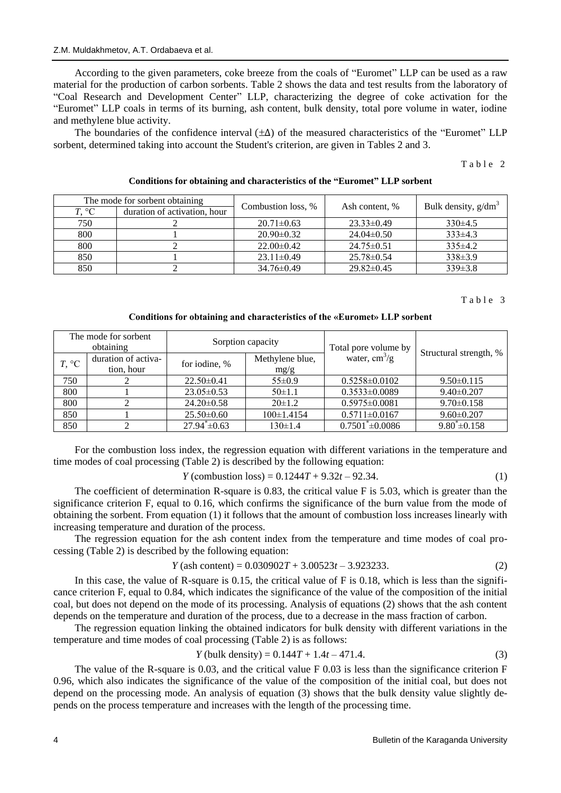According to the given parameters, coke breeze from the coals of "Euromet" LLP can be used as a raw material for the production of carbon sorbents. Table 2 shows the data and test results from the laboratory of "Coal Research and Development Center" LLP, characterizing the degree of coke activation for the "Euromet" LLP coals in terms of its burning, ash content, bulk density, total pore volume in water, iodine and methylene blue activity.

The boundaries of the confidence interval  $(\pm \Delta)$  of the measured characteristics of the "Euromet" LLP sorbent, determined taking into account the Student's criterion, are given in Tables 2 and 3.

Table 2

| The mode for sorbent obtaining |                              | Combustion loss, % | Ash content, %   | Bulk density, $g/dm^3$ |  |
|--------------------------------|------------------------------|--------------------|------------------|------------------------|--|
| $T, \degree C$                 | duration of activation, hour |                    |                  |                        |  |
| 750                            |                              | $20.71 \pm 0.63$   | $23.33 \pm 0.49$ | $330\pm4.5$            |  |
| 800                            |                              | $20.90 \pm 0.32$   | $24.04\pm0.50$   | $333\pm4.3$            |  |
| 800                            |                              | $22.00 \pm 0.42$   | $24.75 \pm 0.51$ | $335\pm4.2$            |  |
| 850                            |                              | $23.11 \pm 0.49$   | $25.78 \pm 0.54$ | $338\pm3.9$            |  |
| 850                            |                              | $34.76 \pm 0.49$   | $29.82 \pm 0.45$ | $339\pm3.8$            |  |

### **Conditions for obtaining and characteristics of the "Euromet" LLP sorbent**

## Table 3

## **Conditions for obtaining and characteristics of the «Euromet» LLP sorbent**

| The mode for sorbent<br>obtaining |                     | Sorption capacity  |                  | Total pore volume by          |                        |  |
|-----------------------------------|---------------------|--------------------|------------------|-------------------------------|------------------------|--|
| $T, \,^{\circ}C$                  | duration of activa- | for iodine, %      | Methylene blue,  | water, $\text{cm}^3/\text{g}$ | Structural strength, % |  |
| tion, hour                        |                     |                    | mg/g             |                               |                        |  |
| 750                               |                     | $22.50 \pm 0.41$   | $55 \pm 0.9$     | $0.5258 \pm 0.0102$           | $9.50 \pm 0.115$       |  |
| 800                               |                     | $23.05 \pm 0.53$   | $50 \pm 1.1$     | $0.3533 \pm 0.0089$           | $9.40 \pm 0.207$       |  |
| 800                               |                     | $24.20 \pm 0.58$   | $20 \pm 1.2$     | $0.5975 \pm 0.0081$           | $9.70 \pm 0.158$       |  |
| 850                               |                     | $25.50\pm0.60$     | $100 \pm 1.4154$ | $0.5711 \pm 0.0167$           | $9.60 \pm 0.207$       |  |
| 850                               |                     | $27.94^* \pm 0.63$ | $130 \pm 1.4$    | $0.7501^* \pm 0.0086$         | $9.80^* \pm 0.158$     |  |

For the сombustion loss index, the regression equation with different variations in the temperature and time modes of coal processing (Table 2) is described by the following equation:

$$
Y (computation loss) = 0.1244T + 9.32t - 92.34.
$$
 (1)

The coefficient of determination R-square is 0.83, the critical value F is 5.03, which is greater than the significance criterion F, equal to 0.16, which confirms the significance of the burn value from the mode of obtaining the sorbent. From equation (1) it follows that the amount of combustion loss increases linearly with increasing temperature and duration of the process.

The regression equation for the ash content index from the temperature and time modes of coal processing (Table 2) is described by the following equation:

$$
Y (ash content) = 0.030902T + 3.00523t - 3.923233. \tag{2}
$$

In this case, the value of R-square is 0.15, the critical value of  $F$  is 0.18, which is less than the significance criterion F, equal to 0.84, which indicates the significance of the value of the composition of the initial coal, but does not depend on the mode of its processing. Analysis of equations (2) shows that the ash content depends on the temperature and duration of the process, due to a decrease in the mass fraction of carbon.

The regression equation linking the obtained indicators for bulk density with different variations in the temperature and time modes of coal processing (Table 2) is as follows:

$$
Y \text{ (bulk density)} = 0.144T + 1.4t - 471.4. \tag{3}
$$

The value of the R-square is 0.03, and the critical value F 0.03 is less than the significance criterion F 0.96, which also indicates the significance of the value of the composition of the initial coal, but does not depend on the processing mode. An analysis of equation (3) shows that the bulk density value slightly depends on the process temperature and increases with the length of the processing time.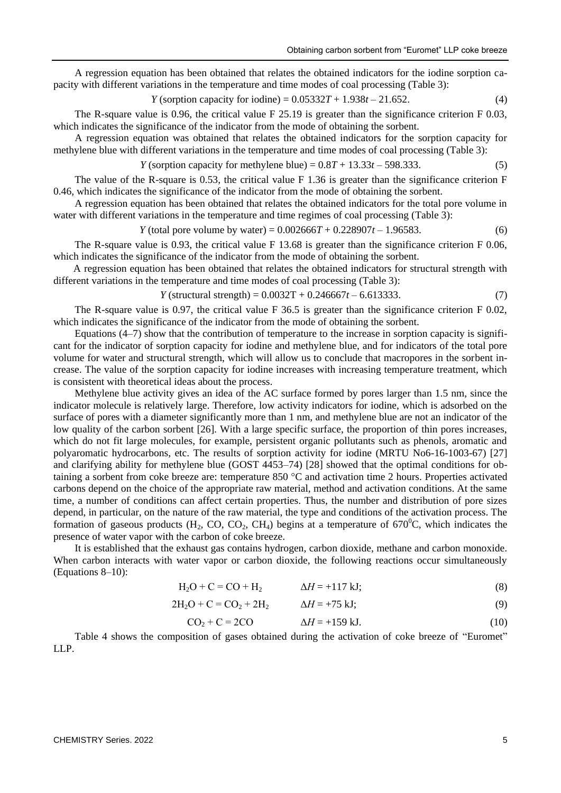A regression equation has been obtained that relates the obtained indicators for the iodine sorption capacity with different variations in the temperature and time modes of coal processing (Table 3):

$$
Y
$$
 (sorption capacity for iodine) =  $0.05332T + 1.938t - 21.652$ . (4)

The R-square value is 0.96, the critical value F 25.19 is greater than the significance criterion F 0.03, which indicates the significance of the indicator from the mode of obtaining the sorbent.

A regression equation was obtained that relates the obtained indicators for the sorption capacity for methylene blue with different variations in the temperature and time modes of coal processing (Table 3):

$$
Y (sorption capacity for methylene blue) = 0.8T + 13.33t - 598.333.
$$
 (5)

The value of the R-square is 0.53, the critical value F 1.36 is greater than the significance criterion F 0.46, which indicates the significance of the indicator from the mode of obtaining the sorbent.

A regression equation has been obtained that relates the obtained indicators for the total pore volume in water with different variations in the temperature and time regimes of coal processing (Table 3):

$$
Y (total pore volume by water) = 0.002666T + 0.228907t - 1.96583.
$$
 (6)

The R-square value is 0.93, the critical value F 13.68 is greater than the significance criterion F 0.06, which indicates the significance of the indicator from the mode of obtaining the sorbent.

A regression equation has been obtained that relates the obtained indicators for structural strength with different variations in the temperature and time modes of coal processing (Table 3):

*Y* (structural strength) =  $0.0032T + 0.246667t - 6.613333$ . (7)

The R-square value is 0.97, the critical value F 36.5 is greater than the significance criterion F 0.02, which indicates the significance of the indicator from the mode of obtaining the sorbent.

Equations (4–7) show that the contribution of temperature to the increase in sorption capacity is significant for the indicator of sorption capacity for iodine and methylene blue, and for indicators of the total pore volume for water and structural strength, which will allow us to conclude that macropores in the sorbent increase. The value of the sorption capacity for iodine increases with increasing temperature treatment, which is consistent with theoretical ideas about the process.

Methylene blue activity gives an idea of the AC surface formed by pores larger than 1.5 nm, since the indicator molecule is relatively large. Therefore, low activity indicators for iodine, which is adsorbed on the surface of pores with a diameter significantly more than 1 nm, and methylene blue are not an indicator of the low quality of the carbon sorbent [26]. With a large specific surface, the proportion of thin pores increases, which do not fit large molecules, for example, persistent organic pollutants such as phenols, aromatic and polyaromatic hydrocarbons, etc. The results of sorption activity for iodine (MRTU No6-16-1003-67) [27] and clarifying ability for methylene blue (GOST 4453–74) [28] showed that the optimal conditions for obtaining a sorbent from coke breeze are: temperature 850 °C and activation time 2 hours. Properties activated carbons depend on the choice of the appropriate raw material, method and activation conditions. At the same time, a number of conditions can affect certain properties. Thus, the number and distribution of pore sizes depend, in particular, on the nature of the raw material, the type and conditions of the activation process. The formation of gaseous products ( $H_2$ , CO, CO<sub>2</sub>, CH<sub>4</sub>) begins at a temperature of 670<sup>o</sup>C, which indicates the presence of water vapor with the carbon of coke breeze.

It is established that the exhaust gas contains hydrogen, carbon dioxide, methane and carbon monoxide. When carbon interacts with water vapor or carbon dioxide, the following reactions occur simultaneously (Equations 8–10):

$$
H_2O + C = CO + H_2 \qquad \Delta H = +117 \text{ kJ};
$$
\n(8)

$$
2H_2O + C = CO_2 + 2H_2 \qquad \Delta H = +75 \text{ kJ};
$$
\n(9)

$$
CO2 + C = 2CO \qquad \Delta H = +159 \text{ kJ}. \tag{10}
$$

Table 4 shows the composition of gases obtained during the activation of coke breeze of "Euromet" LLP.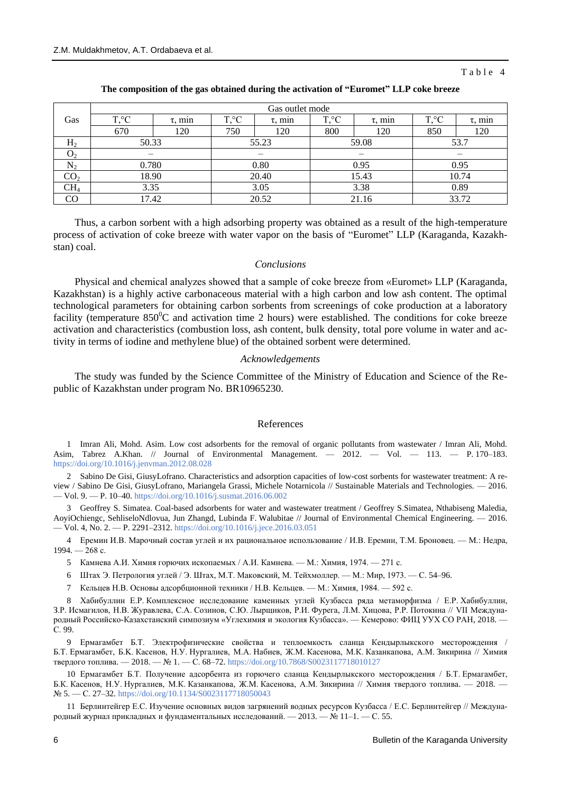### Table 4

|                 | Gas outlet mode  |              |                |              |                  |              |                  |              |
|-----------------|------------------|--------------|----------------|--------------|------------------|--------------|------------------|--------------|
| Gas             | $T, \,^{\circ}C$ | $\tau$ , min | $T, ^{\circ}C$ | $\tau$ , min | $T, \,^{\circ}C$ | $\tau$ , min | $T, \,^{\circ}C$ | $\tau$ , min |
|                 | 670              | 120          | 750            | 120          | 800              | 120          | 850              | 120          |
| H <sub>2</sub>  | 50.33            |              | 55.23          |              | 59.08            |              | 53.7             |              |
| O <sub>2</sub>  |                  |              |                |              |                  |              |                  |              |
| $\rm N_2$       | 0.780            |              | 0.80           |              | 0.95             |              | 0.95             |              |
| CO <sub>2</sub> | 18.90            |              | 20.40          |              | 15.43            |              | 10.74            |              |
| CH <sub>4</sub> | 3.35             |              | 3.05           |              | 3.38             |              | 0.89             |              |
| CO              | 17.42            |              | 20.52          |              | 21.16            |              | 33.72            |              |

#### **The composition of the gas obtained during the activation of "Euromet" LLP coke breeze**

Thus, a carbon sorbent with a high adsorbing property was obtained as a result of the high-temperature process of activation of coke breeze with water vapor on the basis of "Euromet" LLP (Karaganda, Kazakhstan) coal.

### *Сonclusions*

Physical and chemical analyzes showed that a sample of coke breeze from «Euromet» LLP (Karaganda, Kazakhstan) is a highly active carbonaceous material with a high carbon and low ash content. The optimal technological parameters for obtaining carbon sorbents from screenings of coke production at a laboratory facility (temperature  $850^{\circ}$ C and activation time 2 hours) were established. The conditions for coke breeze activation and characteristics (combustion loss, ash content, bulk density, total pore volume in water and activity in terms of iodine and methylene blue) of the obtained sorbent were determined.

### *Acknowledgements*

The study was funded by the Science Committee of the Ministry of Education and Science of the Republic of Kazakhstan under program No. BR10965230.

#### References

1 Imran Ali, Mohd. Asim. Low cost adsorbents for the removal of organic pollutants from wastewater / Imran Ali, Mohd. Asim, Tabrez A.Khan. // Journal of Environmental Management. — 2012. — Vol. — 113. — P. 170–183. <https://doi.org/10.1016/j.jenvman.2012.08.028>

2 Sabino De Gisi, GiusyLofrano. Characteristics and adsorption capacities of low-cost sorbents for wastewater treatment: A review / Sabino De Gisi, GiusyLofrano, Mariangela Grassi, Michele Notarnicola // Sustainable Materials and Technologies. — 2016. — Vol. 9. — P. 10–40[. https://doi.org/10.1016/j.susmat.2016.06.002](https://doi.org/10.1016/j.susmat.2016.06.002)

3 Geoffrey S. Simatea. Coal-based adsorbents for water and wastewater treatment / Geoffrey S.Simatea, Nthabiseng Maledia, AoyiOchiengc, SehliseloNdlovua, Jun Zhangd, Lubinda F. Walubitae // Journal of Environmental Chemical Engineering. — 2016. — Vol. 4, No. 2. — P. 2291–2312.<https://doi.org/10.1016/j.jece.2016.03.051>

4 Еремин И.В. Марочный состав углей и их рациональное использование / И.В. Еремин, Т.М. Броновец. — М.: Недра, 1994. — 268 с.

- 5 Камнева А.И. Химия горючих ископаемых / А.И. Камнева. M.: Химия, 1974. 271 с.
- 6 Штах Э. Петрология углей / Э. Штах, М.Т. Маковский, М. Тейхмоллер. М.: Мир, 1973. С. 54–96.
- 7 Кельцев Н.В. Основы адсорбционной техники / Н.В. Кельцев. M.: Химия, 1984. 592 с.

8 Хабибуллин Е.Р. Комплексное исследование каменных углей Кузбасса ряда метаморфизма / Е.Р. Хабибуллин, З.Р. Исмагилов, Н.В. Журавлева, С.А. Созинов, С.Ю. Лырщиков, Р.И. Фурега, Л.М. Хицова, Р.Р. Потокина // VII Международный Российско-Казахстанский симпозиум «Углехимия и экология Кузбасса». — Кемерово: ФИЦ УУХ СО РАН, 2018. — С. 99.

9 Ермагамбет Б.Т. Электрофизические свойства и теплоемкость сланца Кендырлыкского месторождения / Б.Т. Ермагамбет, Б.K. Касенов, Н.У. Нургалиев, М.А. Набиев, Ж.М. Касенова, М.К. Казанкапова, А.М. Зикирина // Химия твердого топлива. — 2018. — № 1. — С. 68–72.<https://doi.org/10.7868/S0023117718010127>

10 Ермагамбет Б.Т. Получение адсорбента из горючего сланца Кендырлыкского месторождения / Б.Т. Ермагамбет, Б.К. Касенов, Н.У. Нургалиев, М.К. Казанкапова, Ж.М. Касенова, А.М. Зикирина // Химия твердого топлива. — 2018. — № 5. — С. 27–32[. https://doi.org/10.1134/S0023117718050043](https://doi.org/10.1134/S0023117718050043)

11 Берлинтейгер Е.С. Изучение основных видов загрянений водных ресурсов Кузбасса / Е.С. Берлинтейгер // Международный журнал прикладных и фундаментальных исследований. — 2013. — № 11–1. — С. 55.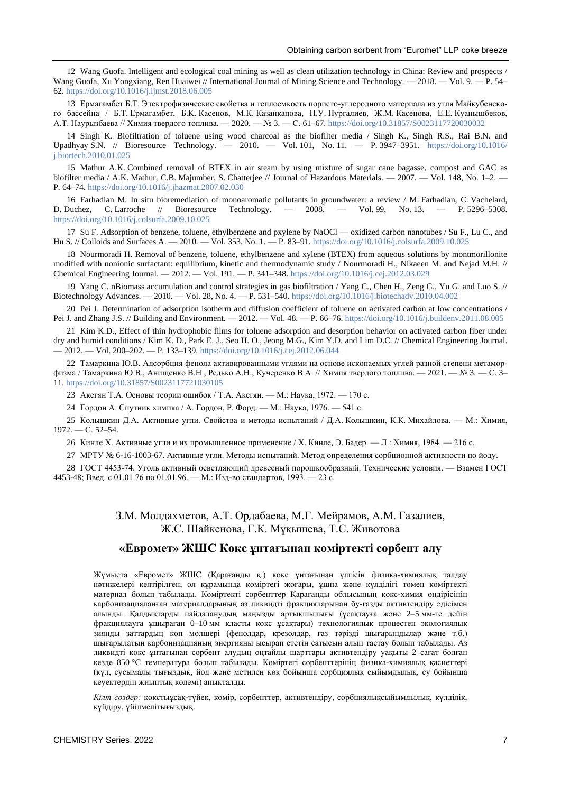12 Wang Guofa. Intelligent and ecological coal mining as well as clean utilization technology in China: Review and prospects / Wang Guofa, Xu Yongxiang, Ren Huaiwei // International Journal of Mining Science and Technology. — 2018. — Vol. 9. — P. 54– 62.<https://doi.org/10.1016/j.ijmst.2018.06.005>

13 Ермагамбет Б.Т. Электрофизические свойства и теплоемкость пористо-углеродного материала из угля Майкубенского бассейна / Б.Т. Ермагамбет, Б.K. Касенов, М.К. Казанкапова, Н.У. Нургалиев, Ж.М. Касенова, Е.Е. Куанышбеков, А.Т. Наурызбаева // Химия твердого топлива. — 2020. — № 3. — С. 61–67. <https://doi.org/10.31857/S0023117720030032>

14 Singh K. Biofiltration of toluene using wood charcoal as the biofilter media / Singh K., Singh R.S., Rai B.N. and Upadhyay S.N. // Bioresource Technology. — 2010. — Vol. 101, No. 11. — P. 3947–3951. [https://doi.org/10.1016/](https://doi.org/10.1016/j.biortech.2010.01.025) [j.biortech.2010.01.025](https://doi.org/10.1016/j.biortech.2010.01.025)

15 Mathur A.K. Combined removal of BTEX in air steam by using mixture of sugar cane bagasse, compost and GAC as biofilter media / A.K. Mathur, C.B. Majumber, S. Chatterjee // Journal of Hazardous Materials. — 2007. — Vol. 148, No. 1-2. — P. 64–74.<https://doi.org/10.1016/j.jhazmat.2007.02.030>

16 Farhadian M. In situ bioremediation of monoaromatic pollutants in groundwater: a review / M. Farhadian, C. Vachelard, D. Duchez, C. Larroche // Bioresource Technology. — 2008. — Vol. 99, No. 13. — P. 5296–5308. <https://doi.org/10.1016/j.colsurfa.2009.10.025>

17 Su F. Adsorption of benzene, toluene, ethylbenzene and pxylene by NaOCl — oxidized carbon nanotubes / Su F., Lu C., and Hu S. // Colloids and Surfaces A. — 2010. — Vol. 353, No. 1. — P. 83–91[. https://doi.org/10.1016/j.colsurfa.2009.10.025](https://doi.org/10.1016/j.colsurfa.2009.10.025)

18 Nourmoradi H. Removal of benzene, toluene, ethylbenzene and xylene (BTEX) from aqueous solutions by montmorillonite modified with nonionic surfactant: equilibrium, kinetic and thermodynamic study / Nourmoradi H., Nikaeen M. and Nejad M.H. // Chemical Engineering Journal. — 2012. — Vol. 191. — P. 341–348[. https://doi.org/10.1016/j.cej.2012.03.029](https://doi.org/10.1016/j.cej.2012.03.029)

19 Yang C. nBiomass accumulation and control strategies in gas biofiltration / Yang C., Chen H., Zeng G., Yu G. and Luo S. // Biotechnology Advances. — 2010. — Vol. 28, No. 4. — P. 531–540[. https://doi.org/10.1016/j.biotechadv.2010.04.002](https://doi.org/10.1016/j.biotechadv.2010.04.002)

20 Pei J. Determination of adsorption isotherm and diffusion coefficient of toluene on activated carbon at low concentrations / Pei J. and Zhang J.S. // Building and Environment. — 2012. — Vol. 48. — P. 66–76[. https://doi.org/10.1016/j.buildenv.2011.08.005](https://doi.org/10.1016/j.buildenv.2011.08.005)

21 Kim K.D., Effect of thin hydrophobic films for toluene adsorption and desorption behavior on activated carbon fiber under dry and humid conditions / Kim K. D., Park E. J., Seo H. O., Jeong M.G., Kim Y.D. and Lim D.C. // Chemical Engineering Journal. — 2012. — Vol. 200–202. — P. 133–139[. https://doi.org/10.1016/j.cej.2012.06.044](https://doi.org/10.1016/j.cej.2012.06.044)

22 Тамаркина Ю.В. Адсорбция фенола активированными углями на основе ископаемых углей разной степени метаморфизма / Тамаркина Ю.В., Анищенко В.Н., Редько А.Н., Кучеренко В.А. // Химия твердого топлива. — 2021. — № 3. — С. 3– 11.<https://doi.org/10.31857/S0023117721030105>

23 Акегян Т.А. Основы теории ошибок / Т.А. Акегян. — М.: Наука, 1972. — 170 с.

24 Гордон А. Спутник химика / А. Гордон, Р. Форд. — М.: Наука, 1976. — 541 с.

25 Колышкин Д.А. Активные угли. Свойства и методы испытаний / Д.А. Колышкин, К.К. Михайлова. — М.: Химия,  $1972. - C. 52 - 54.$ 

26 Кинле Х. Активные угли и их промышленное применение / Х. Кинле, Э. Бадер. — Л.: Химия, 1984. — 216 с.

27 МРТУ № 6-16-1003-67. Активные угли. Методы испытаний. Метод определения сорбционной активности по йоду.

28 ГОСТ 4453-74. Уголь активный осветляющий древесный порошкообразный. Технические условия. — Взамен ГОСТ 4453-48; Введ. с 01.01.76 по 01.01.96. — М.: Изд-во стандартов, 1993. — 23 с.

> З.М. Молдахметов, А.Т. Ордабаева, М.Г. Мейрамов, А.М. Ғазалиев, Ж.С. Шайкенова, Г.К. Mұқышева, Т.С. Животова

## **«Евромет» ЖШС Кокс ұнтағынан көміртекті сорбент алу**

Жұмыста «Евромет» ЖШС (Қарағанды қ.) кокс ұнтағынан үлгісін физика-химиялық талдау нәтижелері келтірілген, ол құрамында көміртегі жоғары, ұшпа және күлділігі төмен көміртекті материал болып табылады. Көміртекті сорбенттер Қарағанды облысының кокс-химия өндірісінің карбонизацияланған материалдарының аз ликвидті фракцияларынан бу-газды активтендіру әдісімен алынды. Қалдықтарды пайдаланудың маңызды артықшылығы (ұсақтауға және 2–5 мм-ге дейін фракциялауға ұшыраған 0–10 мм класты кокс ұсақтары) технологиялық процестен экологиялық зиянды заттардың көп мөлшері (фенолдар, крезолдар, газ тәрізді шығарындылар және т.б.) шығарылатын карбонизацияның энергияны ысырап ететін сатысын алып тастау болып табылады. Аз ликвидті кокс ұнтағынан сорбент алудың оңтайлы шарттары активтендіру уақыты 2 сағат болған кезде 850 °С температура болып табылады. Көміртегі сорбенттерінің физика-химиялық қасиеттері (күл, сусымалы тығыздық, йод және метилен көк бойынша сорбциялық сыйымдылық, су бойынша кеуектердің жиынтық көлемі) анықталды.

*Кілт сөздер:* кокстыұсақ-түйек, көмір, сорбенттер, активтендіру, сорбциялықсыйымдылық, күлділік, күйдіру, үйілмелітығыздық.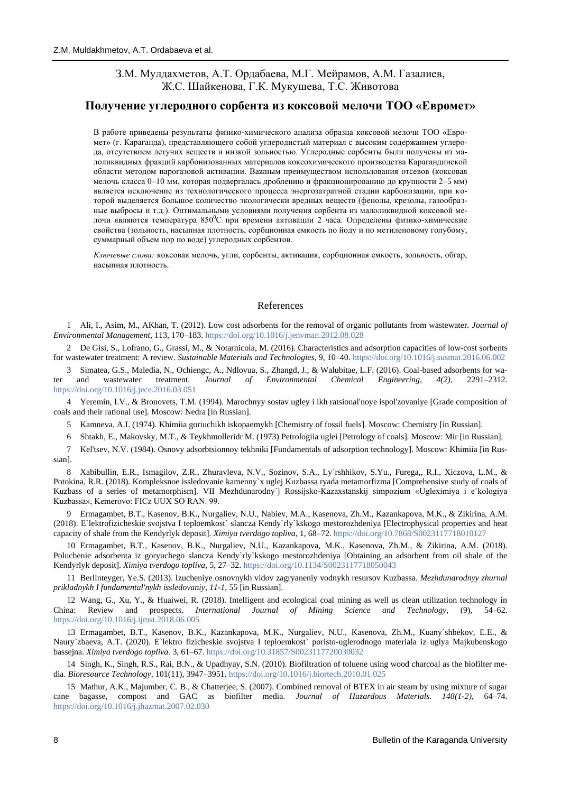# З.М. Мулдахметов, А.Т. Ордабаева, М.Г. Мейрамов, А.М. Газалиев, Ж.С. Шайкенова, Г.К. Мукушева, Т.С. Животова

## **Получение углеродного сорбента из коксовой мелочи ТОО «Евромет»**

В работе приведены результаты физико-химического анализа образца коксовой мелочи ТОО «Евромет» (г. Караганда), представляющего собой углеродистый материал с высоким содержанием углерода, отсутствием летучих веществ и низкой зольностью. Углеродные сорбенты были получены из малоликвидных фракций карбонизованных материалов коксохимического производства Карагандинской области методом парогазовой активации. Важным преимуществом использования отсевов (коксовая мелочь класса 0–10 мм, которая подвергалась дроблению и фракционированию до крупности 2–5 мм) является исключение из технологического процесса энергозатратной стадии карбонизации, при которой выделяется большое количество экологически вредных веществ (фенолы, крезолы, газообразные выбросы и т.д.). Оптимальными условиями получения сорбента из малоликвидной коксовой мелочи являются температура 850°С при времени активации 2 часа. Определены физико-химические свойства (зольность, насыпная плотность, сорбционная емкость по йоду и по метиленовому голубому, суммарный объем пор по воде) углеродных сорбентов.

*Ключевые слова:* коксовая мелочь, угли, сорбенты, активация, сорбционная емкость, зольность, обгар, насыпная плотность.

## References

1 Ali, I., Asim, M., AKhan, T. (2012). Low cost adsorbents for the removal of organic pollutants from wastewater. *Journal of Environmental Management*, 113, 170–183.<https://doi.org/10.1016/j.jenvman.2012.08.028>

2 De Gisi, S., Lofrano, G., Grassi, M., & Notarnicola, M. (2016). Characteristics and adsorption capacities of low-cost sorbents for wastewater treatment: A review. *Sustainable Materials and Technologies*, 9, 10–40[. https://doi.org/10.1016/j.susmat.2016.06.002](https://doi.org/10.1016/j.susmat.2016.06.002)

3 Simatea, G.S., Maledia, N., Ochiengc, A., Ndlovua, S., Zhangd, J., & Walubitae, L.F. (2016). Coal-based adsorbents for water and wastewater treatment. *Journal of Environmental Chemical Engineering, 4(2)*, 2291–2312. <https://doi.org/10.1016/j.jece.2016.03.051>

4 Yeremin, I.V., & Bronovets, T.M. (1994). Marochnyy sostav ugley i ikh ratsional'noye ispol'zovaniye [Grade composition of coals and their rational use]. Moscow: Nedra [in Russian].

- 5 Kamneva, A.I. (1974). Khimiia goriuchikh iskopaemykh [Chemistry of fossil fuels]. Moscow: Chemistry [in Russian].
- 6 Shtakh, E., Makovsky, M.T., & Teykhmolleridr M. (1973) Petrologiia uglei [Petrology of coals]. Moscow: Mir [in Russian].

7 Kel'tsev, N.V. (1984). Osnovy adsorbtsionnoy tekhniki [Fundamentals of adsorption technology]. Moscow: Khimiia [in Russian].

8 Xabibullin, E.R., Ismagilov, Z.R., Zhuravleva, N.V., Sozinov, S.A., Ly`rshhikov, S.Yu., Furega,, R.I., Xiczova, L.M., & Potokina, R.R. (2018). Kompleksnoe issledovanie kamenny`x uglej Kuzbassa ryada metamorfizma [Comprehensive study of coals of Kuzbass of a series of metamorphism]. VII Mezhdunarodny`j Rossijsko-Kazaxstanskij simpozium «Ugleximiya i e`kologiya Kuzbassa», Kemerovo: FICz UUX SO RAN. 99.

9 Ermagambet, B.T., Kasenov, B.K., Nurgaliev, N.U., Nabiev, M.A., Kasenova, Zh.M., Kazankapova, M.K., & Zikirina, A.M. (2018). E`lektrofizicheskie svojstva I teploemkost` slancza Kendy`rly`kskogo mestorozhdeniya [Electrophysical properties and heat capacity of shale from the Kendyrlyk deposit]. *Ximiya tverdogo topliva*, 1, 68–72.<https://doi.org/10.7868/S0023117718010127>

10 Ermagambet, B.T., Kasenov, B.K., Nurgaliev, N.U., Kazankapova, M.K., Kasenova, Zh.M., & Zikirina, A.M. (2018). Poluchenie adsorbenta iz goryuchego slancza Kendy`rly`kskogo mestorozhdeniya [Obtaining an adsorbent from oil shale of the Kendyrlyk deposit]. *Ximiya tverdogo topliva,* 5, 27–32. <https://doi.org/10.1134/S0023117718050043>

11 Berlinteyger, Ye.S. (2013). Izucheniye osnovnykh vidov zagryaneniy vodnykh resursov Kuzbassa. *Mezhdunarodnyy zhurnal prikladnykh I fundamental'nykh issledovaniy, 11-1*, 55 [in Russian].

12 Wang, G., Xu, Y., & Huaiwei, R. (2018). Intelligent and ecological coal mining as well as clean utilization technology in China: Review and prospects. *International Journal of Mining Science and Technology*, (9), 54–62. <https://doi.org/10.1016/j.ijmst.2018.06.005>

13 Ermagambet, B.T., Kasenov, B.K., Kazankapova, M.K., Nurgaliev, N.U., Kasenova, Zh.M., Kuany`shbekov, E.E., & Naury`zbaeva, A.T. (2020). E`lektro fizicheskie svojstva I teploemkost` poristo-uglerodnogo materiala iz uglya Majkubenskogo bassejna. *Ximiya tverdogo topliva.* 3, 61–67.<https://doi.org/10.31857/S0023117720030032>

14 Singh, K., Singh, R.S., Rai, B.N., & Upadhyay, S.N. (2010). Biofiltration of toluene using wood charcoal as the biofilter media. *Bioresource Technology,* 101(11), 3947–3951.<https://doi.org/10.1016/j.biortech.2010.01.025>

15 Mathur, A.K., Majumber, C. B., & Chatterjee, S. (2007). Combined removal of BTEX in air steam by using mixture of sugar cane bagasse, compost and GAC as biofilter media. *Journal of Hazardous Materials. 148(1-2)*, 64–74. <https://doi.org/10.1016/j.jhazmat.2007.02.030>